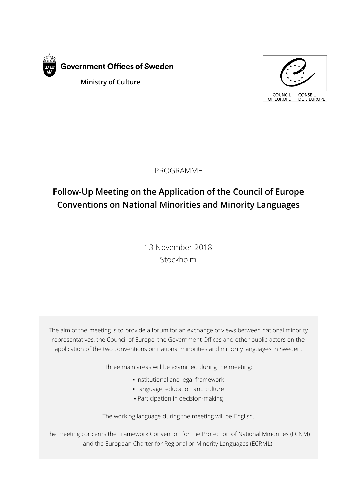



PROGRAMME

# **Follow-Up Meeting on the Application of the Council of Europe Conventions on National Minorities and Minority Languages**

13 November 2018 Stockholm

The aim of the meeting is to provide a forum for an exchange of views between national minority representatives, the Council of Europe, the Government Offices and other public actors on the application of the two conventions on national minorities and minority languages in Sweden.

Three main areas will be examined during the meeting:

- Institutional and legal framework
- **.** Language, education and culture
- Participation in decision-making

The working language during the meeting will be English.

The meeting concerns the Framework Convention for the Protection of National Minorities (FCNM) and the European Charter for Regional or Minority Languages (ECRML).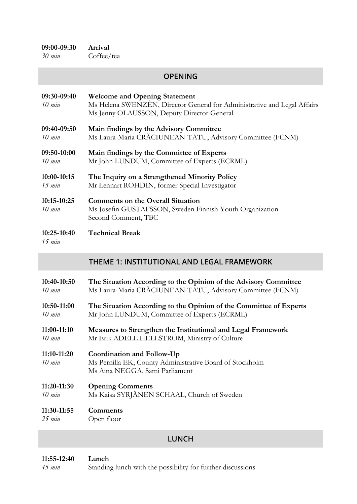*30 min* Coffee/tea

### **OPENING**

| 09:30-09:40<br>$10$ min      | <b>Welcome and Opening Statement</b><br>Ms Helena SWENZÈN, Director General for Administrative and Legal Affairs<br>Ms Jenny OLAUSSON, Deputy Director General |
|------------------------------|----------------------------------------------------------------------------------------------------------------------------------------------------------------|
| 09:40-09:50                  | Main findings by the Advisory Committee                                                                                                                        |
| $10 \; min$                  | Ms Laura-Maria CRĂCIUNEAN-TATU, Advisory Committee (FCNM)                                                                                                      |
| 09:50-10:00                  | Main findings by the Committee of Experts                                                                                                                      |
| $10$ min                     | Mr John LUNDUM, Committee of Experts (ECRML)                                                                                                                   |
| 10:00-10:15                  | The Inquiry on a Strengthened Minority Policy                                                                                                                  |
| $15$ min                     | Mr Lennart ROHDIN, former Special Investigator                                                                                                                 |
| 10:15-10:25<br>$10$ min      | <b>Comments on the Overall Situation</b><br>Ms Josefin GUSTAFSSON, Sweden Finnish Youth Organization<br>Second Comment, TBC                                    |
| 10:25-10:40<br>$15$ min      | <b>Technical Break</b>                                                                                                                                         |
|                              |                                                                                                                                                                |
|                              | <b>THEME 1: INSTITUTIONAL AND LEGAL FRAMEWORK</b>                                                                                                              |
| 10:40-10:50                  | The Situation According to the Opinion of the Advisory Committee                                                                                               |
| $10$ min                     | Ms Laura-Maria CRĂCIUNEAN-TATU, Advisory Committee (FCNM)                                                                                                      |
| 10:50-11:00                  | The Situation According to the Opinion of the Committee of Experts                                                                                             |
| $10 \; min$                  | Mr John LUNDUM, Committee of Experts (ECRML)                                                                                                                   |
| $11:00-11:10$                | Measures to Strengthen the Institutional and Legal Framework                                                                                                   |
| $10 \; min$                  | Mr Erik ADELL HELLSTRÖM, Ministry of Culture                                                                                                                   |
| $11:10-11:20$<br>$10 \; min$ | Coordination and Follow-Up<br>Ms Pernilla EK, County Administrative Board of Stockholm<br>Ms Aina NEGGA, Sami Parliament                                       |
| 11:20-11:30                  | <b>Opening Comments</b>                                                                                                                                        |
| $10 \; min$                  | Ms Kaisa SYRJÄNEN SCHAAL, Church of Sweden                                                                                                                     |

## **LUNCH**